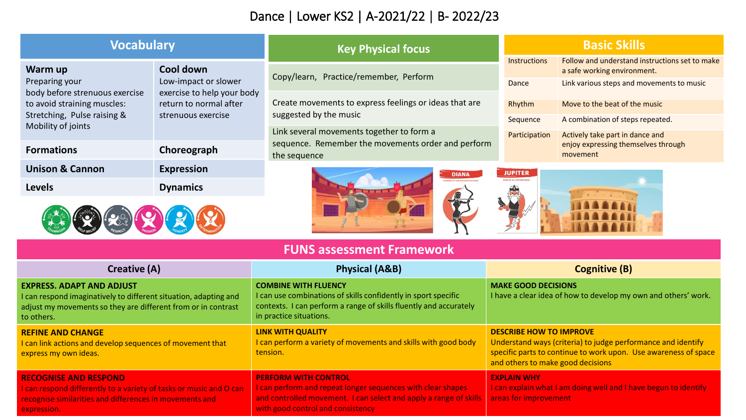## Dance | Lower KS2 | A-2021/22 | B- 2022/23

| <b>Vocabulary</b>                                                                                                                               |                                                                                                                 | <b>Key Physical focus</b>                                                                       | <b>Basic Skills</b> |                                                                               |  |
|-------------------------------------------------------------------------------------------------------------------------------------------------|-----------------------------------------------------------------------------------------------------------------|-------------------------------------------------------------------------------------------------|---------------------|-------------------------------------------------------------------------------|--|
| Warm up<br>Preparing your<br>body before strenuous exercise<br>to avoid straining muscles:<br>Stretching, Pulse raising &<br>Mobility of joints | Cool down<br>Low-impact or slower<br>exercise to help your body<br>return to normal after<br>strenuous exercise | Copy/learn, Practice/remember, Perform                                                          | <b>Instructions</b> | Follow and understand instructions set to make<br>a safe working environment. |  |
|                                                                                                                                                 |                                                                                                                 |                                                                                                 | Dance               | Link various steps and movements to music                                     |  |
|                                                                                                                                                 |                                                                                                                 | Create movements to express feelings or ideas that are                                          | Rhythm              | Move to the beat of the music                                                 |  |
|                                                                                                                                                 |                                                                                                                 | suggested by the music                                                                          | Sequence            | A combination of steps repeated.                                              |  |
|                                                                                                                                                 |                                                                                                                 | Link several movements together to form a<br>sequence. Remember the movements order and perform | Participation       | Actively take part in dance and<br>enjoy expressing themselves through        |  |
| <b>Formations</b>                                                                                                                               | Choreograph                                                                                                     | the sequence                                                                                    |                     | movement                                                                      |  |
| <b>Unison &amp; Cannon</b>                                                                                                                      | <b>Expression</b>                                                                                               | <b>DIANA</b>                                                                                    | <b>JUPITER</b>      |                                                                               |  |
| <b>Levels</b>                                                                                                                                   | <b>Dynamics</b>                                                                                                 |                                                                                                 | ING OF ALL ROMAN C  |                                                                               |  |
|                                                                                                                                                 |                                                                                                                 |                                                                                                 |                     |                                                                               |  |

| $2^{14}$<br>$\sim$<br>ı | M<br>RICO<br>$\mathbf{r}$ if $\mathbf{r}$ | 18<br>π, |  |  |
|-------------------------|-------------------------------------------|----------|--|--|
|-------------------------|-------------------------------------------|----------|--|--|

| <b>FUNS assessment Framework</b> |  |
|----------------------------------|--|

| Creative (A)                                                                                                                                                                        | <b>Physical (A&amp;B)</b>                                                                                                                                                                            | <b>Cognitive (B)</b>                                                                                                                                                                                   |
|-------------------------------------------------------------------------------------------------------------------------------------------------------------------------------------|------------------------------------------------------------------------------------------------------------------------------------------------------------------------------------------------------|--------------------------------------------------------------------------------------------------------------------------------------------------------------------------------------------------------|
| <b>EXPRESS. ADAPT AND ADJUST</b><br>I can respond imaginatively to different situation, adapting and<br>adjust my movements so they are different from or in contrast<br>to others. | <b>COMBINE WITH FLUENCY</b><br>I can use combinations of skills confidently in sport specific<br>contexts. I can perform a range of skills fluently and accurately<br>in practice situations.        | <b>MAKE GOOD DECISIONS</b><br>I have a clear idea of how to develop my own and others' work.                                                                                                           |
| <b>REFINE AND CHANGE</b><br>I can link actions and develop sequences of movement that<br>express my own ideas.                                                                      | <b>LINK WITH QUALITY</b><br>I can perform a variety of movements and skills with good body<br>tension.                                                                                               | <b>DESCRIBE HOW TO IMPROVE</b><br>Understand ways (criteria) to judge performance and identify<br>specific parts to continue to work upon. Use awareness of space<br>and others to make good decisions |
| <b>RECOGNISE AND RESPOND</b><br>I can respond differently to a variety of tasks or music and O can<br>recognise similarities and differences in movements and<br>expression.        | <b>PERFORM WITH CONTROL</b><br>I can perform and repeat longer sequences with clear shapes<br>and controlled movement. I can select and apply a range of skills<br>with good control and consistency | <b>EXPLAIN WHY</b><br>I can explain what I am doing well and I have begun to identify<br>areas for improvement                                                                                         |